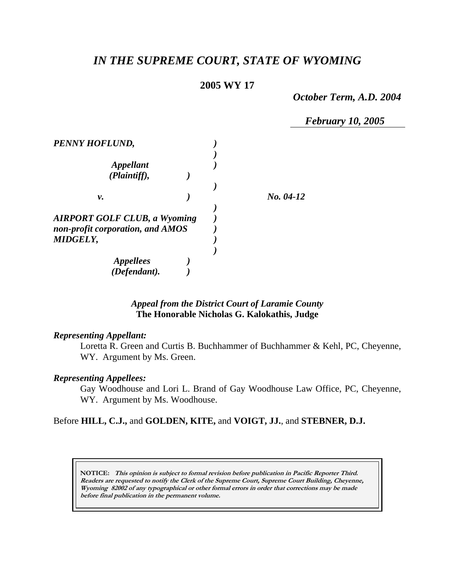# *IN THE SUPREME COURT, STATE OF WYOMING*

# **2005 WY 17**

*October Term, A.D. 2004* 

 *February 10, 2005* 

| PENNY HOFLUND,                                                          |  |             |
|-------------------------------------------------------------------------|--|-------------|
| Appellant<br>(Plaintiff),                                               |  |             |
| ν.                                                                      |  | $No. 04-12$ |
| <b>AIRPORT GOLF CLUB, a Wyoming</b><br>non-profit corporation, and AMOS |  |             |
| <b>MIDGELY,</b><br><i><b>Appellees</b></i><br>(Defendant).              |  |             |

# *Appeal from the District Court of Laramie County* **The Honorable Nicholas G. Kalokathis, Judge**

## *Representing Appellant:*

Loretta R. Green and Curtis B. Buchhammer of Buchhammer & Kehl, PC, Cheyenne, WY. Argument by Ms. Green.

#### *Representing Appellees:*

Gay Woodhouse and Lori L. Brand of Gay Woodhouse Law Office, PC, Cheyenne, WY. Argument by Ms. Woodhouse.

# Before **HILL, C.J.,** and **GOLDEN, KITE,** and **VOIGT, JJ.**, and **STEBNER, D.J.**

**NOTICE: This opinion is subject to formal revision before publication in Pacific Reporter Third. Readers are requested to notify the Clerk of the Supreme Court, Supreme Court Building, Cheyenne, Wyoming 82002 of any typographical or other formal errors in order that corrections may be made before final publication in the permanent volume.**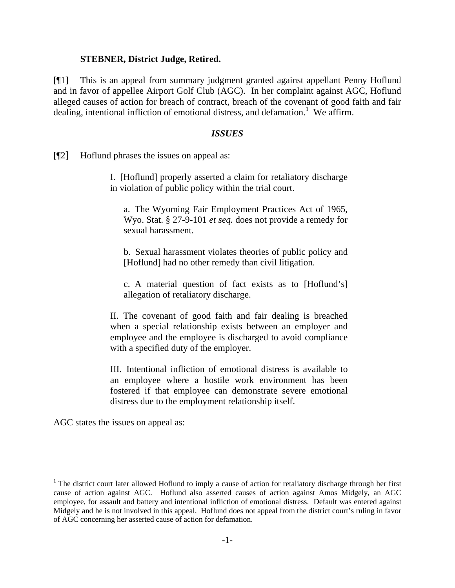#### **STEBNER, District Judge, Retired.**

[¶1] This is an appeal from summary judgment granted against appellant Penny Hoflund and in favor of appellee Airport Golf Club (AGC). In her complaint against AGC, Hoflund alleged causes of action for breach of contract, breach of the covenant of good faith and fair dealing, intentional infliction of emotional distress, and defamation.<sup>1</sup> We affirm.

#### *ISSUES*

[¶2] Hoflund phrases the issues on appeal as:

I. [Hoflund] properly asserted a claim for retaliatory discharge in violation of public policy within the trial court.

a. The Wyoming Fair Employment Practices Act of 1965, Wyo. Stat. § 27-9-101 *et seq.* does not provide a remedy for sexual harassment.

b. Sexual harassment violates theories of public policy and [Hoflund] had no other remedy than civil litigation.

c. A material question of fact exists as to [Hoflund's] allegation of retaliatory discharge.

II. The covenant of good faith and fair dealing is breached when a special relationship exists between an employer and employee and the employee is discharged to avoid compliance with a specified duty of the employer.

III. Intentional infliction of emotional distress is available to an employee where a hostile work environment has been fostered if that employee can demonstrate severe emotional distress due to the employment relationship itself.

AGC states the issues on appeal as:

 $1$  The district court later allowed Hoflund to imply a cause of action for retaliatory discharge through her first cause of action against AGC. Hoflund also asserted causes of action against Amos Midgely, an AGC employee, for assault and battery and intentional infliction of emotional distress. Default was entered against Midgely and he is not involved in this appeal. Hoflund does not appeal from the district court's ruling in favor of AGC concerning her asserted cause of action for defamation.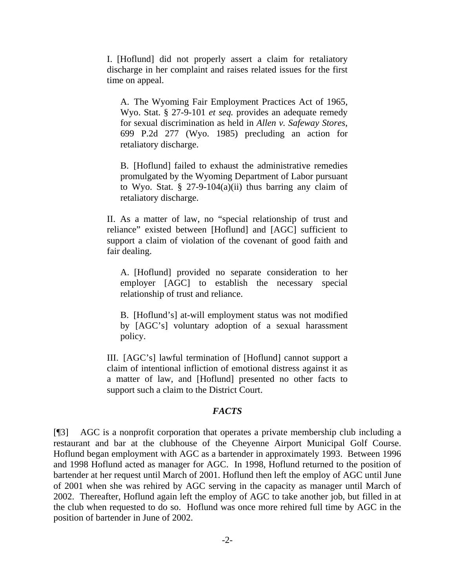I. [Hoflund] did not properly assert a claim for retaliatory discharge in her complaint and raises related issues for the first time on appeal.

A. The Wyoming Fair Employment Practices Act of 1965, Wyo. Stat. § 27-9-101 *et seq.* provides an adequate remedy for sexual discrimination as held in *Allen v. Safeway Stores*, 699 P.2d 277 (Wyo. 1985) precluding an action for retaliatory discharge.

B. [Hoflund] failed to exhaust the administrative remedies promulgated by the Wyoming Department of Labor pursuant to Wyo. Stat.  $\S$  27-9-104(a)(ii) thus barring any claim of retaliatory discharge.

II. As a matter of law, no "special relationship of trust and reliance" existed between [Hoflund] and [AGC] sufficient to support a claim of violation of the covenant of good faith and fair dealing.

A. [Hoflund] provided no separate consideration to her employer [AGC] to establish the necessary special relationship of trust and reliance.

B. [Hoflund's] at-will employment status was not modified by [AGC's] voluntary adoption of a sexual harassment policy.

III. [AGC's] lawful termination of [Hoflund] cannot support a claim of intentional infliction of emotional distress against it as a matter of law, and [Hoflund] presented no other facts to support such a claim to the District Court.

## *FACTS*

[¶3] AGC is a nonprofit corporation that operates a private membership club including a restaurant and bar at the clubhouse of the Cheyenne Airport Municipal Golf Course. Hoflund began employment with AGC as a bartender in approximately 1993. Between 1996 and 1998 Hoflund acted as manager for AGC. In 1998, Hoflund returned to the position of bartender at her request until March of 2001. Hoflund then left the employ of AGC until June of 2001 when she was rehired by AGC serving in the capacity as manager until March of 2002. Thereafter, Hoflund again left the employ of AGC to take another job, but filled in at the club when requested to do so. Hoflund was once more rehired full time by AGC in the position of bartender in June of 2002.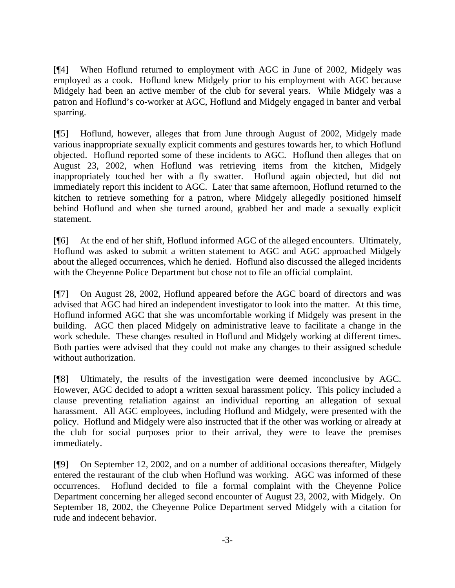[¶4] When Hoflund returned to employment with AGC in June of 2002, Midgely was employed as a cook. Hoflund knew Midgely prior to his employment with AGC because Midgely had been an active member of the club for several years. While Midgely was a patron and Hoflund's co-worker at AGC, Hoflund and Midgely engaged in banter and verbal sparring.

[¶5] Hoflund, however, alleges that from June through August of 2002, Midgely made various inappropriate sexually explicit comments and gestures towards her, to which Hoflund objected. Hoflund reported some of these incidents to AGC. Hoflund then alleges that on August 23, 2002, when Hoflund was retrieving items from the kitchen, Midgely inappropriately touched her with a fly swatter. Hoflund again objected, but did not immediately report this incident to AGC. Later that same afternoon, Hoflund returned to the kitchen to retrieve something for a patron, where Midgely allegedly positioned himself behind Hoflund and when she turned around, grabbed her and made a sexually explicit statement.

[¶6] At the end of her shift, Hoflund informed AGC of the alleged encounters. Ultimately, Hoflund was asked to submit a written statement to AGC and AGC approached Midgely about the alleged occurrences, which he denied. Hoflund also discussed the alleged incidents with the Cheyenne Police Department but chose not to file an official complaint.

[¶7] On August 28, 2002, Hoflund appeared before the AGC board of directors and was advised that AGC had hired an independent investigator to look into the matter. At this time, Hoflund informed AGC that she was uncomfortable working if Midgely was present in the building. AGC then placed Midgely on administrative leave to facilitate a change in the work schedule. These changes resulted in Hoflund and Midgely working at different times. Both parties were advised that they could not make any changes to their assigned schedule without authorization.

[¶8] Ultimately, the results of the investigation were deemed inconclusive by AGC. However, AGC decided to adopt a written sexual harassment policy. This policy included a clause preventing retaliation against an individual reporting an allegation of sexual harassment. All AGC employees, including Hoflund and Midgely, were presented with the policy. Hoflund and Midgely were also instructed that if the other was working or already at the club for social purposes prior to their arrival, they were to leave the premises immediately.

[¶9] On September 12, 2002, and on a number of additional occasions thereafter, Midgely entered the restaurant of the club when Hoflund was working. AGC was informed of these occurrences. Hoflund decided to file a formal complaint with the Cheyenne Police Department concerning her alleged second encounter of August 23, 2002, with Midgely. On September 18, 2002, the Cheyenne Police Department served Midgely with a citation for rude and indecent behavior.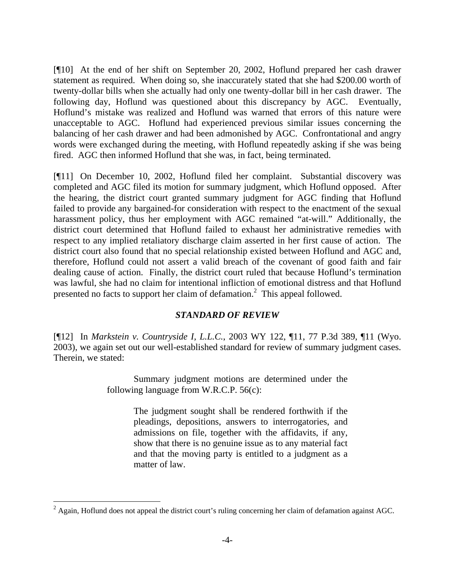[¶10] At the end of her shift on September 20, 2002, Hoflund prepared her cash drawer statement as required. When doing so, she inaccurately stated that she had \$200.00 worth of twenty-dollar bills when she actually had only one twenty-dollar bill in her cash drawer. The following day, Hoflund was questioned about this discrepancy by AGC. Eventually, Hoflund's mistake was realized and Hoflund was warned that errors of this nature were unacceptable to AGC. Hoflund had experienced previous similar issues concerning the balancing of her cash drawer and had been admonished by AGC. Confrontational and angry words were exchanged during the meeting, with Hoflund repeatedly asking if she was being fired. AGC then informed Hoflund that she was, in fact, being terminated.

[¶11] On December 10, 2002, Hoflund filed her complaint. Substantial discovery was completed and AGC filed its motion for summary judgment, which Hoflund opposed. After the hearing, the district court granted summary judgment for AGC finding that Hoflund failed to provide any bargained-for consideration with respect to the enactment of the sexual harassment policy, thus her employment with AGC remained "at-will." Additionally, the district court determined that Hoflund failed to exhaust her administrative remedies with respect to any implied retaliatory discharge claim asserted in her first cause of action. The district court also found that no special relationship existed between Hoflund and AGC and, therefore, Hoflund could not assert a valid breach of the covenant of good faith and fair dealing cause of action. Finally, the district court ruled that because Hoflund's termination was lawful, she had no claim for intentional infliction of emotional distress and that Hoflund presented no facts to support her claim of defamation.<sup>2</sup> This appeal followed.

## *STANDARD OF REVIEW*

[¶12] In *Markstein v. Countryside I, L.L.C.*, 2003 WY 122, ¶11, 77 P.3d 389, ¶11 (Wyo. 2003), we again set out our well-established standard for review of summary judgment cases. Therein, we stated:

> Summary judgment motions are determined under the following language from W.R.C.P. 56(c):

> > The judgment sought shall be rendered forthwith if the pleadings, depositions, answers to interrogatories, and admissions on file, together with the affidavits, if any, show that there is no genuine issue as to any material fact and that the moving party is entitled to a judgment as a matter of law.

 $\overline{a}$ 

 $2$  Again, Hoflund does not appeal the district court's ruling concerning her claim of defamation against AGC.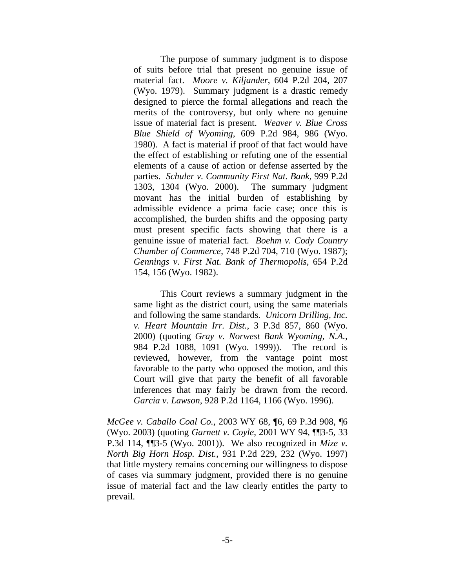The purpose of summary judgment is to dispose of suits before trial that present no genuine issue of material fact. *Moore v. Kiljander*, 604 P.2d 204, 207 (Wyo. 1979). Summary judgment is a drastic remedy designed to pierce the formal allegations and reach the merits of the controversy, but only where no genuine issue of material fact is present. *Weaver v. Blue Cross Blue Shield of Wyoming*, 609 P.2d 984, 986 (Wyo. 1980). A fact is material if proof of that fact would have the effect of establishing or refuting one of the essential elements of a cause of action or defense asserted by the parties. *Schuler v. Community First Nat. Bank*, 999 P.2d 1303, 1304 (Wyo. 2000). The summary judgment movant has the initial burden of establishing by admissible evidence a prima facie case; once this is accomplished, the burden shifts and the opposing party must present specific facts showing that there is a genuine issue of material fact. *Boehm v. Cody Country Chamber of Commerce*, 748 P.2d 704, 710 (Wyo. 1987); *Gennings v. First Nat. Bank of Thermopolis*, 654 P.2d 154, 156 (Wyo. 1982).

 This Court reviews a summary judgment in the same light as the district court, using the same materials and following the same standards. *Unicorn Drilling, Inc. v. Heart Mountain Irr. Dist.*, 3 P.3d 857, 860 (Wyo. 2000) (quoting *Gray v. Norwest Bank Wyoming, N.A.*, 984 P.2d 1088, 1091 (Wyo. 1999)). The record is reviewed, however, from the vantage point most favorable to the party who opposed the motion, and this Court will give that party the benefit of all favorable inferences that may fairly be drawn from the record. *Garcia v. Lawson*, 928 P.2d 1164, 1166 (Wyo. 1996).

*McGee v. Caballo Coal Co.*, 2003 WY 68, ¶6, 69 P.3d 908, ¶6 (Wyo. 2003) (quoting *Garnett v. Coyle*, 2001 WY 94, ¶¶3-5, 33 P.3d 114, ¶¶3-5 (Wyo. 2001)). We also recognized in *Mize v. North Big Horn Hosp. Dist.*, 931 P.2d 229, 232 (Wyo. 1997) that little mystery remains concerning our willingness to dispose of cases via summary judgment, provided there is no genuine issue of material fact and the law clearly entitles the party to prevail.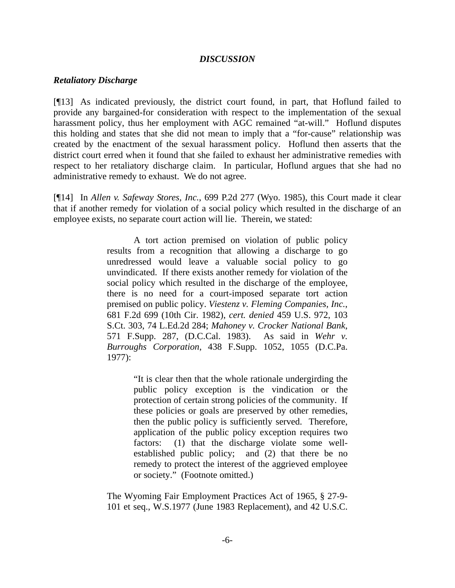#### *DISCUSSION*

#### *Retaliatory Discharge*

[¶13] As indicated previously, the district court found, in part, that Hoflund failed to provide any bargained-for consideration with respect to the implementation of the sexual harassment policy, thus her employment with AGC remained "at-will." Hoflund disputes this holding and states that she did not mean to imply that a "for-cause" relationship was created by the enactment of the sexual harassment policy. Hoflund then asserts that the district court erred when it found that she failed to exhaust her administrative remedies with respect to her retaliatory discharge claim. In particular, Hoflund argues that she had no administrative remedy to exhaust. We do not agree.

[¶14] In *Allen v. Safeway Stores, Inc.*, 699 P.2d 277 (Wyo. 1985), this Court made it clear that if another remedy for violation of a social policy which resulted in the discharge of an employee exists, no separate court action will lie. Therein, we stated:

> A tort action premised on violation of public policy results from a recognition that allowing a discharge to go unredressed would leave a valuable social policy to go unvindicated. If there exists another remedy for violation of the social policy which resulted in the discharge of the employee, there is no need for a court-imposed separate tort action premised on public policy. *Viestenz v. Fleming Companies, Inc.*, 681 F.2d 699 (10th Cir. 1982), *cert. denied* 459 U.S. 972, 103 S.Ct. 303, 74 L.Ed.2d 284; *Mahoney v. Crocker National Bank*, 571 F.Supp. 287, (D.C.Cal. 1983). As said in *Wehr v. Burroughs Corporation*, 438 F.Supp. 1052, 1055 (D.C.Pa. 1977):

> > "It is clear then that the whole rationale undergirding the public policy exception is the vindication or the protection of certain strong policies of the community. If these policies or goals are preserved by other remedies, then the public policy is sufficiently served. Therefore, application of the public policy exception requires two factors: (1) that the discharge violate some wellestablished public policy; and (2) that there be no remedy to protect the interest of the aggrieved employee or society." (Footnote omitted.)

The Wyoming Fair Employment Practices Act of 1965, § 27-9- 101 et seq., W.S.1977 (June 1983 Replacement), and 42 U.S.C.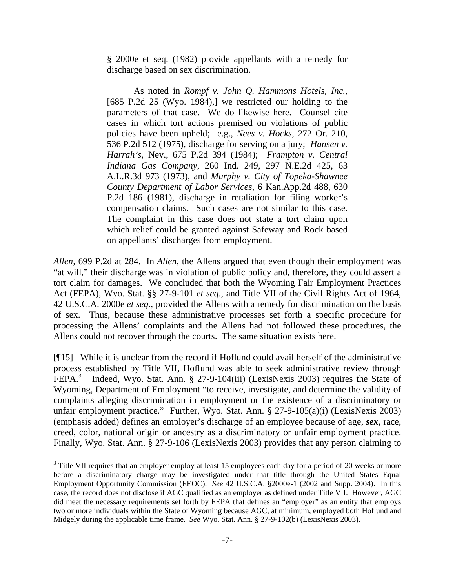§ 2000e et seq. (1982) provide appellants with a remedy for discharge based on sex discrimination.

 As noted in *Rompf v. John Q. Hammons Hotels, Inc.,*  [685 P.2d 25 (Wyo. 1984),] we restricted our holding to the parameters of that case. We do likewise here. Counsel cite cases in which tort actions premised on violations of public policies have been upheld; e.g., *Nees v. Hocks*, 272 Or. 210, 536 P.2d 512 (1975), discharge for serving on a jury; *Hansen v. Harrah's*, Nev., 675 P.2d 394 (1984); *Frampton v. Central Indiana Gas Company*, 260 Ind. 249, 297 N.E.2d 425, 63 A.L.R.3d 973 (1973), and *Murphy v. City of Topeka-Shawnee County Department of Labor Services*, 6 Kan.App.2d 488, 630 P.2d 186 (1981), discharge in retaliation for filing worker's compensation claims. Such cases are not similar to this case. The complaint in this case does not state a tort claim upon which relief could be granted against Safeway and Rock based on appellants' discharges from employment.

*Allen,* 699 P.2d at 284.In *Allen*, the Allens argued that even though their employment was "at will," their discharge was in violation of public policy and, therefore, they could assert a tort claim for damages. We concluded that both the Wyoming Fair Employment Practices Act (FEPA), Wyo. Stat. §§ 27-9-101 *et seq*., and Title VII of the Civil Rights Act of 1964, 42 U.S.C.A. 2000e *et seq*., provided the Allens with a remedy for discrimination on the basis of sex. Thus, because these administrative processes set forth a specific procedure for processing the Allens' complaints and the Allens had not followed these procedures, the Allens could not recover through the courts. The same situation exists here.

[¶15] While it is unclear from the record if Hoflund could avail herself of the administrative process established by Title VII, Hoflund was able to seek administrative review through FEPA.<sup>3</sup> Indeed, Wyo. Stat. Ann. § 27-9-104(iii) (LexisNexis 2003) requires the State of Wyoming, Department of Employment "to receive, investigate, and determine the validity of complaints alleging discrimination in employment or the existence of a discriminatory or unfair employment practice." Further, Wyo. Stat. Ann. § 27-9-105(a)(i) (LexisNexis 2003) (emphasis added) defines an employer's discharge of an employee because of age, *sex*, race, creed, color, national origin or ancestry as a discriminatory or unfair employment practice. Finally, Wyo. Stat. Ann. § 27-9-106 (LexisNexis 2003) provides that any person claiming to

 $\overline{a}$ 

 $3$  Title VII requires that an employer employ at least 15 employees each day for a period of 20 weeks or more before a discriminatory charge may be investigated under that title through the United States Equal Employment Opportunity Commission (EEOC). *See* 42 U.S.C.A. §2000e-1 (2002 and Supp. 2004). In this case, the record does not disclose if AGC qualified as an employer as defined under Title VII. However, AGC did meet the necessary requirements set forth by FEPA that defines an "employer" as an entity that employs two or more individuals within the State of Wyoming because AGC, at minimum, employed both Hoflund and Midgely during the applicable time frame. *See* Wyo. Stat. Ann. § 27-9-102(b) (LexisNexis 2003).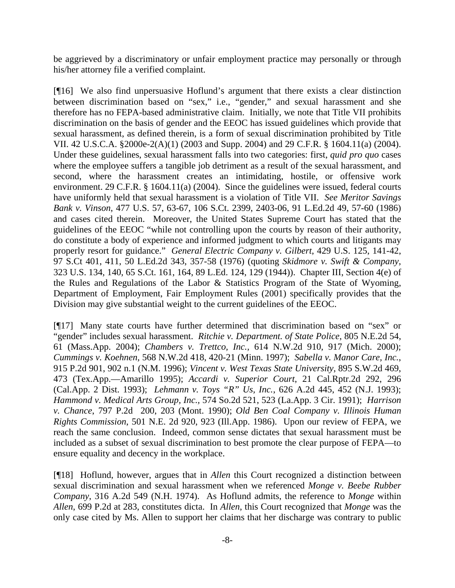be aggrieved by a discriminatory or unfair employment practice may personally or through his/her attorney file a verified complaint.

[¶16] We also find unpersuasive Hoflund's argument that there exists a clear distinction between discrimination based on "sex," i.e., "gender," and sexual harassment and she therefore has no FEPA-based administrative claim. Initially, we note that Title VII prohibits discrimination on the basis of gender and the EEOC has issued guidelines which provide that sexual harassment, as defined therein, is a form of sexual discrimination prohibited by Title VII. 42 U.S.C.A. §2000e-2(A)(1) (2003 and Supp. 2004) and 29 C.F.R. § 1604.11(a) (2004). Under these guidelines, sexual harassment falls into two categories: first, *quid pro quo* cases where the employee suffers a tangible job detriment as a result of the sexual harassment, and second, where the harassment creates an intimidating, hostile, or offensive work environment. 29 C.F.R. § 1604.11(a) (2004). Since the guidelines were issued, federal courts have uniformly held that sexual harassment is a violation of Title VII. *See Meritor Savings Bank v. Vinson*, 477 U.S. 57, 63-67, 106 S.Ct. 2399, 2403-06, 91 L.Ed.2d 49, 57-60 (1986) and cases cited therein. Moreover, the United States Supreme Court has stated that the guidelines of the EEOC "while not controlling upon the courts by reason of their authority, do constitute a body of experience and informed judgment to which courts and litigants may properly resort for guidance." *General Electric Company v. Gilbert*, 429 U.S. 125, 141-42, 97 S.Ct 401, 411, 50 L.Ed.2d 343, 357-58 (1976) (quoting *Skidmore v. Swift & Company*, 323 U.S. 134, 140, 65 S.Ct. 161, 164, 89 L.Ed. 124, 129 (1944)). Chapter III, Section 4(e) of the Rules and Regulations of the Labor & Statistics Program of the State of Wyoming, Department of Employment, Fair Employment Rules (2001) specifically provides that the Division may give substantial weight to the current guidelines of the EEOC.

[¶17] Many state courts have further determined that discrimination based on "sex" or "gender" includes sexual harassment. *Ritchie v. Department. of State Police*, 805 N.E.2d 54, 61 (Mass.App. 2004); *Chambers v. Trettco, Inc.,* 614 N.W.2d 910, 917 (Mich. 2000); *Cummings v. Koehnen,* 568 N.W.2d 418, 420-21 (Minn. 1997); *Sabella v. Manor Care, Inc.*, 915 P.2d 901, 902 n.1 (N.M. 1996); *Vincent v. West Texas State University*, 895 S.W.2d 469, 473 (Tex.App.—Amarillo 1995); *Accardi v. Superior Court*, 21 Cal.Rptr.2d 292, 296 (Cal.App. 2 Dist. 1993); *Lehmann v. Toys "R" Us, Inc.*, 626 A.2d 445, 452 (N.J. 1993); *Hammond v. Medical Arts Group, Inc.,* 574 So.2d 521, 523 (La.App. 3 Cir. 1991); *Harrison v. Chance*, 797 P.2d 200, 203 (Mont. 1990); *Old Ben Coal Company v. Illinois Human Rights Commission*, 501 N.E. 2d 920, 923 (Ill.App. 1986). Upon our review of FEPA, we reach the same conclusion. Indeed, common sense dictates that sexual harassment must be included as a subset of sexual discrimination to best promote the clear purpose of FEPA—to ensure equality and decency in the workplace.

[¶18] Hoflund, however, argues that in *Allen* this Court recognized a distinction between sexual discrimination and sexual harassment when we referenced *Monge v. Beebe Rubber Company*, 316 A.2d 549 (N.H. 1974). As Hoflund admits, the reference to *Monge* within *Allen*, 699 P.2d at 283, constitutes dicta. In *Allen*, this Court recognized that *Monge* was the only case cited by Ms. Allen to support her claims that her discharge was contrary to public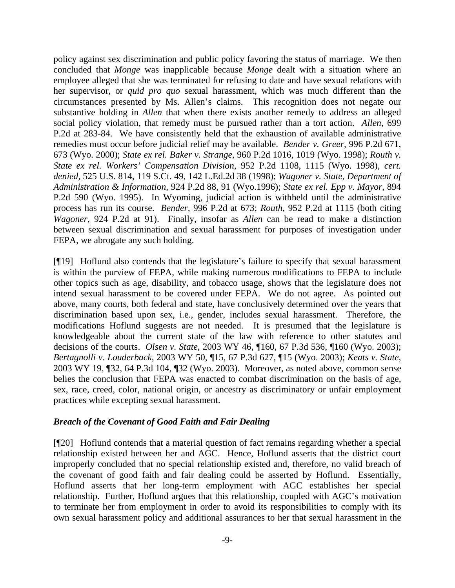policy against sex discrimination and public policy favoring the status of marriage. We then concluded that *Monge* was inapplicable because *Monge* dealt with a situation where an employee alleged that she was terminated for refusing to date and have sexual relations with her supervisor, or *quid pro quo* sexual harassment, which was much different than the circumstances presented by Ms. Allen's claims. This recognition does not negate our substantive holding in *Allen* that when there exists another remedy to address an alleged social policy violation, that remedy must be pursued rather than a tort action. *Allen*, 699 P.2d at 283-84. We have consistently held that the exhaustion of available administrative remedies must occur before judicial relief may be available. *Bender v. Greer*, 996 P.2d 671, 673 (Wyo. 2000); *State ex rel. Baker v. Strange*, 960 P.2d 1016, 1019 (Wyo. 1998); *Routh v. State ex rel. Workers' Compensation Division*, 952 P.2d 1108, 1115 (Wyo. 1998), *cert. denied,* 525 U.S. 814, 119 S.Ct. 49, 142 L.Ed.2d 38 (1998); *Wagoner v. State, Department of Administration & Information*, 924 P.2d 88, 91 (Wyo.1996); *State ex rel. Epp v. Mayor*, 894 P.2d 590 (Wyo. 1995). In Wyoming, judicial action is withheld until the administrative process has run its course. *Bender,* 996 P.2d at 673; *Routh*, 952 P.2d at 1115 (both citing *Wagoner*, 924 P.2d at 91). Finally, insofar as *Allen* can be read to make a distinction between sexual discrimination and sexual harassment for purposes of investigation under FEPA, we abrogate any such holding.

[¶19] Hoflund also contends that the legislature's failure to specify that sexual harassment is within the purview of FEPA, while making numerous modifications to FEPA to include other topics such as age, disability, and tobacco usage, shows that the legislature does not intend sexual harassment to be covered under FEPA. We do not agree. As pointed out above, many courts, both federal and state, have conclusively determined over the years that discrimination based upon sex, i.e., gender, includes sexual harassment. Therefore, the modifications Hoflund suggests are not needed. It is presumed that the legislature is knowledgeable about the current state of the law with reference to other statutes and decisions of the courts. *Olsen v. State*, 2003 WY 46, ¶160, 67 P.3d 536, ¶160 (Wyo. 2003); *Bertagnolli v. Louderback*, 2003 WY 50, ¶15, 67 P.3d 627, ¶15 (Wyo. 2003); *Keats v. State*, 2003 WY 19, ¶32, 64 P.3d 104, ¶32 (Wyo. 2003). Moreover, as noted above, common sense belies the conclusion that FEPA was enacted to combat discrimination on the basis of age, sex, race, creed, color, national origin, or ancestry as discriminatory or unfair employment practices while excepting sexual harassment.

## *Breach of the Covenant of Good Faith and Fair Dealing*

[¶20] Hoflund contends that a material question of fact remains regarding whether a special relationship existed between her and AGC. Hence, Hoflund asserts that the district court improperly concluded that no special relationship existed and, therefore, no valid breach of the covenant of good faith and fair dealing could be asserted by Hoflund. Essentially, Hoflund asserts that her long-term employment with AGC establishes her special relationship. Further, Hoflund argues that this relationship, coupled with AGC's motivation to terminate her from employment in order to avoid its responsibilities to comply with its own sexual harassment policy and additional assurances to her that sexual harassment in the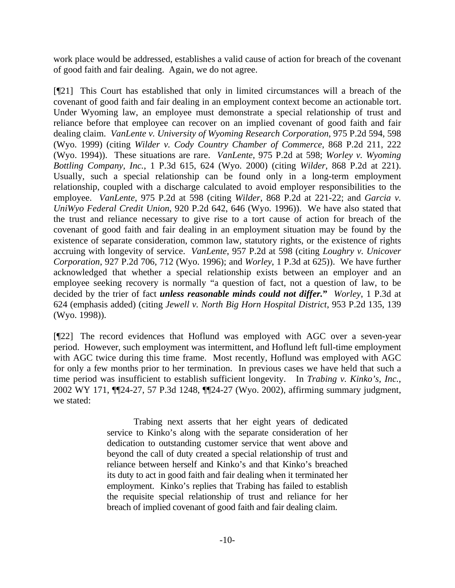work place would be addressed, establishes a valid cause of action for breach of the covenant of good faith and fair dealing. Again, we do not agree.

[¶21] This Court has established that only in limited circumstances will a breach of the covenant of good faith and fair dealing in an employment context become an actionable tort. Under Wyoming law, an employee must demonstrate a special relationship of trust and reliance before that employee can recover on an implied covenant of good faith and fair dealing claim. *VanLente v. University of Wyoming Research Corporation*, 975 P.2d 594, 598 (Wyo. 1999) (citing *Wilder v. Cody Country Chamber of Commerce*, 868 P.2d 211, 222 (Wyo. 1994)). These situations are rare. *VanLente*, 975 P.2d at 598; *Worley v. Wyoming Bottling Company, Inc.*, 1 P.3d 615, 624 (Wyo. 2000) (citing *Wilder*, 868 P.2d at 221). Usually, such a special relationship can be found only in a long-term employment relationship, coupled with a discharge calculated to avoid employer responsibilities to the employee. *VanLente*, 975 P.2d at 598 (citing *Wilder*, 868 P.2d at 221-22; and *Garcia v. UniWyo Federal Credit Union*, 920 P.2d 642, 646 (Wyo. 1996)). We have also stated that the trust and reliance necessary to give rise to a tort cause of action for breach of the covenant of good faith and fair dealing in an employment situation may be found by the existence of separate consideration, common law, statutory rights, or the existence of rights accruing with longevity of service. *VanLente*, 957 P.2d at 598 (citing *Loughry v. Unicover Corporation*, 927 P.2d 706, 712 (Wyo. 1996); and *Worley*, 1 P.3d at 625)). We have further acknowledged that whether a special relationship exists between an employer and an employee seeking recovery is normally "a question of fact, not a question of law, to be decided by the trier of fact *unless reasonable minds could not differ.***"** *Worley*, 1 P.3d at 624 (emphasis added) (citing *Jewell v. North Big Horn Hospital District*, 953 P.2d 135, 139 (Wyo. 1998)).

[¶22] The record evidences that Hoflund was employed with AGC over a seven-year period. However, such employment was intermittent, and Hoflund left full-time employment with AGC twice during this time frame. Most recently, Hoflund was employed with AGC for only a few months prior to her termination. In previous cases we have held that such a time period was insufficient to establish sufficient longevity. In *Trabing v. Kinko's, Inc.*, 2002 WY 171, ¶¶24-27, 57 P.3d 1248, ¶¶24-27 (Wyo. 2002), affirming summary judgment, we stated:

> Trabing next asserts that her eight years of dedicated service to Kinko's along with the separate consideration of her dedication to outstanding customer service that went above and beyond the call of duty created a special relationship of trust and reliance between herself and Kinko's and that Kinko's breached its duty to act in good faith and fair dealing when it terminated her employment. Kinko's replies that Trabing has failed to establish the requisite special relationship of trust and reliance for her breach of implied covenant of good faith and fair dealing claim.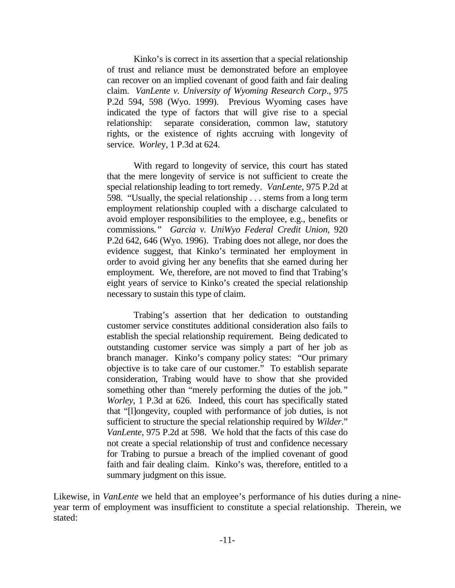Kinko's is correct in its assertion that a special relationship of trust and reliance must be demonstrated before an employee can recover on an implied covenant of good faith and fair dealing claim. *VanLente v. University of Wyoming Research Corp*., 975 P.2d 594, 598 (Wyo. 1999). Previous Wyoming cases have indicated the type of factors that will give rise to a special relationship: separate consideration, common law, statutory rights, or the existence of rights accruing with longevity of service. *Worle*y, 1 P.3d at 624.

 With regard to longevity of service, this court has stated that the mere longevity of service is not sufficient to create the special relationship leading to tort remedy. *VanLente*, 975 P.2d at 598. "Usually, the special relationship . . . stems from a long term employment relationship coupled with a discharge calculated to avoid employer responsibilities to the employee, e.g., benefits or commissions*." Garcia v. UniWyo Federal Credit Union*, 920 P.2d 642, 646 (Wyo. 1996). Trabing does not allege, nor does the evidence suggest, that Kinko's terminated her employment in order to avoid giving her any benefits that she earned during her employment. We, therefore, are not moved to find that Trabing's eight years of service to Kinko's created the special relationship necessary to sustain this type of claim.

 Trabing's assertion that her dedication to outstanding customer service constitutes additional consideration also fails to establish the special relationship requirement. Being dedicated to outstanding customer service was simply a part of her job as branch manager. Kinko's company policy states: "Our primary objective is to take care of our customer." To establish separate consideration, Trabing would have to show that she provided something other than "merely performing the duties of the job*." Worley,* 1 P.3d at 626. Indeed, this court has specifically stated that "[l]ongevity, coupled with performance of job duties, is not sufficient to structure the special relationship required by *Wilder*." *VanLente*, 975 P.2d at 598. We hold that the facts of this case do not create a special relationship of trust and confidence necessary for Trabing to pursue a breach of the implied covenant of good faith and fair dealing claim. Kinko's was, therefore, entitled to a summary judgment on this issue.

Likewise, in *VanLente* we held that an employee's performance of his duties during a nineyear term of employment was insufficient to constitute a special relationship. Therein, we stated: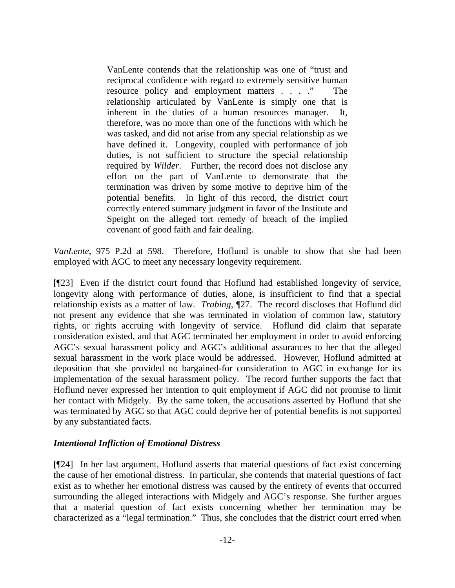VanLente contends that the relationship was one of "trust and reciprocal confidence with regard to extremely sensitive human resource policy and employment matters . . . ." The relationship articulated by VanLente is simply one that is inherent in the duties of a human resources manager. It, therefore, was no more than one of the functions with which he was tasked, and did not arise from any special relationship as we have defined it. Longevity, coupled with performance of job duties, is not sufficient to structure the special relationship required by *Wilder*. Further, the record does not disclose any effort on the part of VanLente to demonstrate that the termination was driven by some motive to deprive him of the potential benefits. In light of this record, the district court correctly entered summary judgment in favor of the Institute and Speight on the alleged tort remedy of breach of the implied covenant of good faith and fair dealing.

*VanLente*, 975 P.2d at 598. Therefore, Hoflund is unable to show that she had been employed with AGC to meet any necessary longevity requirement.

[¶23] Even if the district court found that Hoflund had established longevity of service, longevity along with performance of duties, alone, is insufficient to find that a special relationship exists as a matter of law. *Trabing*, ¶27. The record discloses that Hoflund did not present any evidence that she was terminated in violation of common law, statutory rights, or rights accruing with longevity of service. Hoflund did claim that separate consideration existed, and that AGC terminated her employment in order to avoid enforcing AGC's sexual harassment policy and AGC's additional assurances to her that the alleged sexual harassment in the work place would be addressed. However, Hoflund admitted at deposition that she provided no bargained-for consideration to AGC in exchange for its implementation of the sexual harassment policy. The record further supports the fact that Hoflund never expressed her intention to quit employment if AGC did not promise to limit her contact with Midgely. By the same token, the accusations asserted by Hoflund that she was terminated by AGC so that AGC could deprive her of potential benefits is not supported by any substantiated facts.

# *Intentional Infliction of Emotional Distress*

[¶24] In her last argument, Hoflund asserts that material questions of fact exist concerning the cause of her emotional distress. In particular, she contends that material questions of fact exist as to whether her emotional distress was caused by the entirety of events that occurred surrounding the alleged interactions with Midgely and AGC's response. She further argues that a material question of fact exists concerning whether her termination may be characterized as a "legal termination." Thus, she concludes that the district court erred when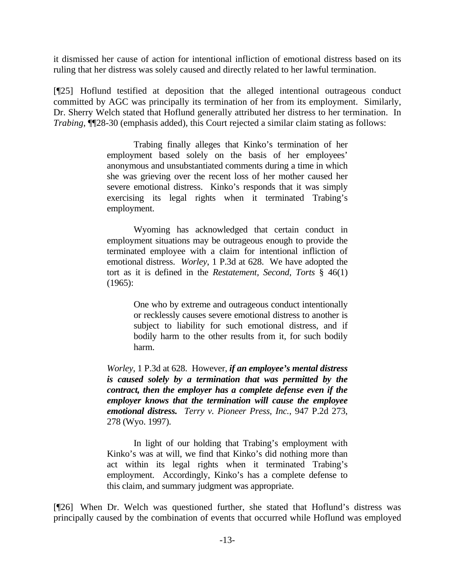it dismissed her cause of action for intentional infliction of emotional distress based on its ruling that her distress was solely caused and directly related to her lawful termination.

[¶25] Hoflund testified at deposition that the alleged intentional outrageous conduct committed by AGC was principally its termination of her from its employment. Similarly, Dr. Sherry Welch stated that Hoflund generally attributed her distress to her termination. In *Trabing*, ¶¶28-30 (emphasis added), this Court rejected a similar claim stating as follows:

> Trabing finally alleges that Kinko's termination of her employment based solely on the basis of her employees' anonymous and unsubstantiated comments during a time in which she was grieving over the recent loss of her mother caused her severe emotional distress. Kinko's responds that it was simply exercising its legal rights when it terminated Trabing's employment.

> Wyoming has acknowledged that certain conduct in employment situations may be outrageous enough to provide the terminated employee with a claim for intentional infliction of emotional distress. *Worley*, 1 P.3d at 628. We have adopted the tort as it is defined in the *Restatement, Second, Torts* § 46(1) (1965):

> > One who by extreme and outrageous conduct intentionally or recklessly causes severe emotional distress to another is subject to liability for such emotional distress, and if bodily harm to the other results from it, for such bodily harm.

*Worley*, 1 P.3d at 628. However, *if an employee's mental distress is caused solely by a termination that was permitted by the contract, then the employer has a complete defense even if the employer knows that the termination will cause the employee emotional distress. Terry v. Pioneer Press, Inc.*, 947 P.2d 273, 278 (Wyo. 1997).

 In light of our holding that Trabing's employment with Kinko's was at will, we find that Kinko's did nothing more than act within its legal rights when it terminated Trabing's employment. Accordingly, Kinko's has a complete defense to this claim, and summary judgment was appropriate.

[¶26] When Dr. Welch was questioned further, she stated that Hoflund's distress was principally caused by the combination of events that occurred while Hoflund was employed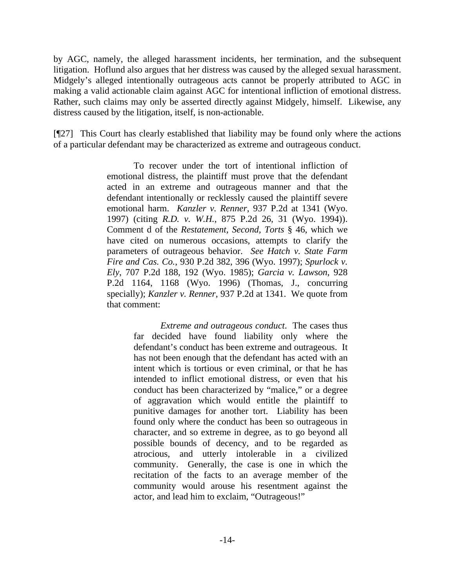by AGC, namely, the alleged harassment incidents, her termination, and the subsequent litigation. Hoflund also argues that her distress was caused by the alleged sexual harassment. Midgely's alleged intentionally outrageous acts cannot be properly attributed to AGC in making a valid actionable claim against AGC for intentional infliction of emotional distress. Rather, such claims may only be asserted directly against Midgely, himself. Likewise, any distress caused by the litigation, itself, is non-actionable.

[¶27] This Court has clearly established that liability may be found only where the actions of a particular defendant may be characterized as extreme and outrageous conduct.

> To recover under the tort of intentional infliction of emotional distress, the plaintiff must prove that the defendant acted in an extreme and outrageous manner and that the defendant intentionally or recklessly caused the plaintiff severe emotional harm. *Kanzler v. Renner*, 937 P.2d at 1341 (Wyo. 1997) (citing *R.D. v. W.H.*, 875 P.2d 26, 31 (Wyo. 1994)). Comment d of the *Restatement, Second, Torts* § 46, which we have cited on numerous occasions, attempts to clarify the parameters of outrageous behavior. *See Hatch v. State Farm Fire and Cas. Co.*, 930 P.2d 382, 396 (Wyo. 1997); *Spurlock v. Ely*, 707 P.2d 188, 192 (Wyo. 1985); *Garcia v. Lawson*, 928 P.2d 1164, 1168 (Wyo. 1996) (Thomas, J., concurring specially); *Kanzler v. Renner*, 937 P.2d at 1341. We quote from that comment:

> > *Extreme and outrageous conduct*. The cases thus far decided have found liability only where the defendant's conduct has been extreme and outrageous. It has not been enough that the defendant has acted with an intent which is tortious or even criminal, or that he has intended to inflict emotional distress, or even that his conduct has been characterized by "malice," or a degree of aggravation which would entitle the plaintiff to punitive damages for another tort. Liability has been found only where the conduct has been so outrageous in character, and so extreme in degree, as to go beyond all possible bounds of decency, and to be regarded as atrocious, and utterly intolerable in a civilized community. Generally, the case is one in which the recitation of the facts to an average member of the community would arouse his resentment against the actor, and lead him to exclaim, "Outrageous!"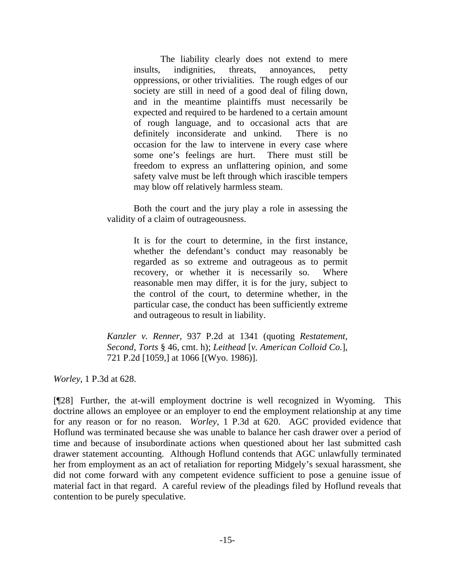The liability clearly does not extend to mere insults, indignities, threats, annoyances, petty oppressions, or other trivialities. The rough edges of our society are still in need of a good deal of filing down, and in the meantime plaintiffs must necessarily be expected and required to be hardened to a certain amount of rough language, and to occasional acts that are definitely inconsiderate and unkind. There is no occasion for the law to intervene in every case where some one's feelings are hurt. There must still be freedom to express an unflattering opinion, and some safety valve must be left through which irascible tempers may blow off relatively harmless steam.

 Both the court and the jury play a role in assessing the validity of a claim of outrageousness.

> It is for the court to determine, in the first instance, whether the defendant's conduct may reasonably be regarded as so extreme and outrageous as to permit recovery, or whether it is necessarily so. Where reasonable men may differ, it is for the jury, subject to the control of the court, to determine whether, in the particular case, the conduct has been sufficiently extreme and outrageous to result in liability.

*Kanzler v. Renner*, 937 P.2d at 1341 (quoting *Restatement, Second, Torts* § 46, cmt. h); *Leithead* [*v. American Colloid Co.*], 721 P.2d [1059,] at 1066 [(Wyo. 1986)].

*Worley*, 1 P.3d at 628.

[¶28] Further, the at-will employment doctrine is well recognized in Wyoming. This doctrine allows an employee or an employer to end the employment relationship at any time for any reason or for no reason. *Worley*, 1 P.3d at 620. AGC provided evidence that Hoflund was terminated because she was unable to balance her cash drawer over a period of time and because of insubordinate actions when questioned about her last submitted cash drawer statement accounting. Although Hoflund contends that AGC unlawfully terminated her from employment as an act of retaliation for reporting Midgely's sexual harassment, she did not come forward with any competent evidence sufficient to pose a genuine issue of material fact in that regard. A careful review of the pleadings filed by Hoflund reveals that contention to be purely speculative.